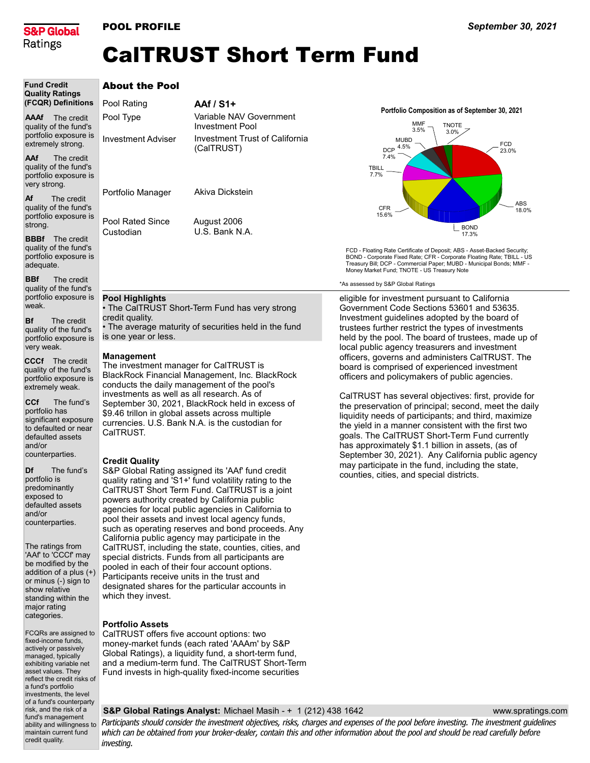

## POOL PROFILE

# CalTRUST Short Term Fund

| <b>Fund Credit</b>     |
|------------------------|
| <b>Quality Ratings</b> |
| (FCQR) Definitions     |

AAAf The credit quality of the fund's portfolio exposure is extremely strong.

AAf The credit quality of the fund's portfolio exposure is very strong.

Af The credit quality of the fund's portfolio exposure is strong.

**BBBf** The credit quality of the fund's portfolio exposure is adequate.

portfolio exposure is **Pool Highlights** BBf The credit quality of the fund's weak.

**Bf**  The credit quality of the fund's portfolio exposure is very weak.

credit quality.

Management

CalTRUST.

Credit Quality

which they invest.

Portfolio Assets

is one year or less.

Pool Rated Since Custodian

CCCf The credit quality of the fund's portfolio exposure is extremely weak.

CCf The fund's portfolio has significant exposure to defaulted or near defaulted assets and/or counterparties.

 The fund's portfolio is predominantly exposed to defaulted assets and/or counterparties. Df

The ratings from 'AAf' to 'CCCf' may be modified by the addition of a plus (+) or minus (-) sign to show relative standing within the major rating categories.

FCQRs are assigned to fixed-income funds, actively or passively managed, typically exhibiting variable net asset values. They reflect the credit risks of a fund's portfolio investments, the level of a fund's counterparty risk, and the risk of a fund's management ability and willingness to maintain current fund credit quality.

# About the Pool

| Pool Rating               | <b>AAf / S1+</b>          |
|---------------------------|---------------------------|
| Pool Type                 | Variable N/<br>Investment |
| <b>Investment Adviser</b> | Investment<br>(CalTRUST   |

riable NAV Government estment Pool vestment Trust of California alTRUST)

Akiva Dickstein Portfolio Manager

> August 2006 U.S. Bank N.A.

• The CalTRUST Short-Term Fund has very strong

• The average maturity of securities held in the fund

BlackRock Financial Management, Inc. BlackRock conducts the daily management of the pool's investments as well as all research. As of

September 30, 2021, BlackRock held in excess of \$9.46 trillon in global assets across multiple currencies. U.S. Bank N.A. is the custodian for

S&P Global Rating assigned its 'AAf' fund credit quality rating and 'S1+' fund volatility rating to the CalTRUST Short Term Fund. CalTRUST is a joint powers authority created by California public agencies for local public agencies in California to pool their assets and invest local agency funds, such as operating reserves and bond proceeds. Any California public agency may participate in the CalTRUST, including the state, counties, cities, and special districts. Funds from all participants are pooled in each of their four account options. Participants receive units in the trust and designated shares for the particular accounts in

CalTRUST offers five account options: two money-market funds (each rated 'AAAm' by S&P Global Ratings), a liquidity fund, a short-term fund, and a medium-term fund. The CalTRUST Short-Term Fund invests in high-quality fixed-income securities

The investment manager for CalTRUST is

Portfolio Composition as of September 30, 2021



FCD - Floating Rate Certificate of Deposit; ABS - Asset-Backed Security; BOND - Corporate Fixed Rate; CFR - Corporate Floating Rate; TBILL - US Treasury Bill; DCP - Commercial Paper; MUBD - Municipal Bonds; MMF - Money Market Fund; TNOTE - US Treasury Note

\*As assessed by S&P Global Ratings

eligible for investment pursuant to California Government Code Sections 53601 and 53635. Investment guidelines adopted by the board of trustees further restrict the types of investments held by the pool. The board of trustees, made up of local public agency treasurers and investment officers, governs and administers CalTRUST. The board is comprised of experienced investment officers and policymakers of public agencies.

CalTRUST has several objectives: first, provide for the preservation of principal; second, meet the daily liquidity needs of participants; and third, maximize the yield in a manner consistent with the first two goals. The CalTRUST Short-Term Fund currently has approximately \$1.1 billion in assets, (as of September 30, 2021). Any California public agency may participate in the fund, including the state, counties, cities, and special districts.

www.spratings.com

#### S&P Global Ratings Analyst: Michael Masih - + 1 (212) 438 1642

Participants should consider the investment objectives, risks, charges and expenses of the pool before investing. The investment guidelines which can be obtained from your broker-dealer, contain this and other information about the pool and should be read carefully before investing.